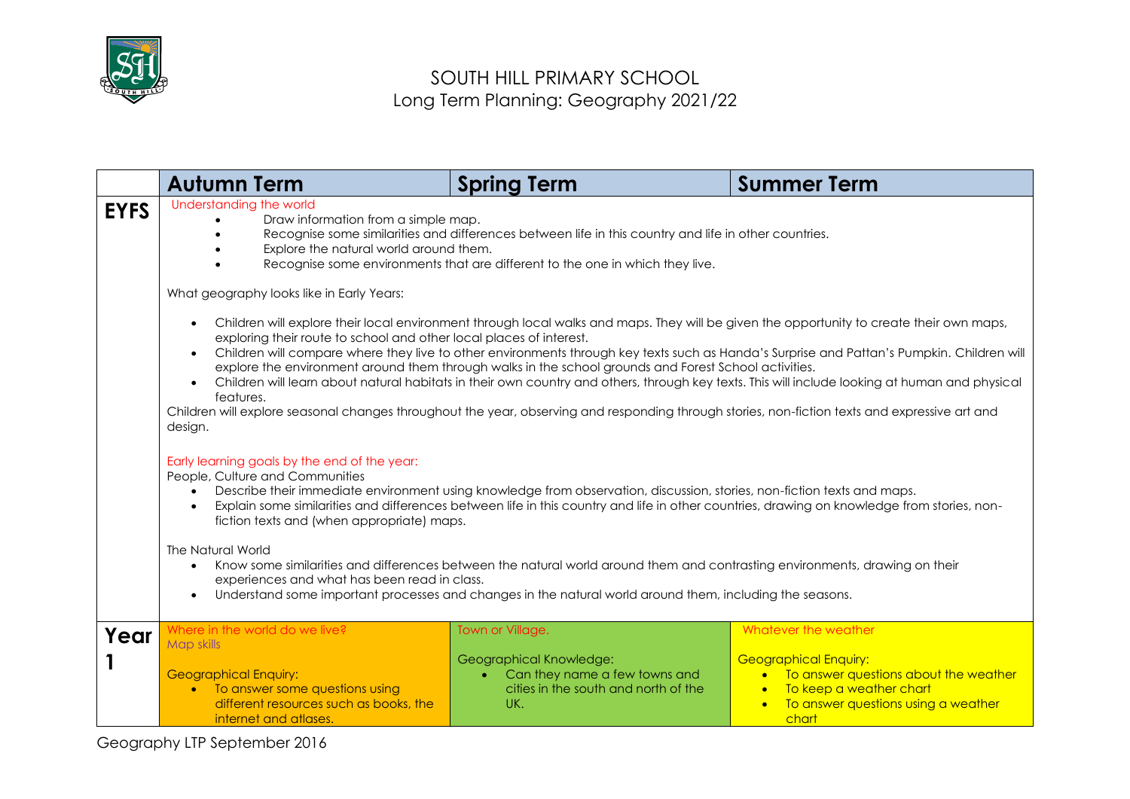

|             | <b>Autumn Term</b>                                                                                                                                                                                                                                                                                                                                                                                                                                                                                                                                                | <b>Spring Term</b>                                                                                                                                                                                                                                                                                                                                                                                                                                                                                                                                                                                                         | <b>Summer Term</b>                                                                                                                                                                                                                                                                                                                                                                                                                       |
|-------------|-------------------------------------------------------------------------------------------------------------------------------------------------------------------------------------------------------------------------------------------------------------------------------------------------------------------------------------------------------------------------------------------------------------------------------------------------------------------------------------------------------------------------------------------------------------------|----------------------------------------------------------------------------------------------------------------------------------------------------------------------------------------------------------------------------------------------------------------------------------------------------------------------------------------------------------------------------------------------------------------------------------------------------------------------------------------------------------------------------------------------------------------------------------------------------------------------------|------------------------------------------------------------------------------------------------------------------------------------------------------------------------------------------------------------------------------------------------------------------------------------------------------------------------------------------------------------------------------------------------------------------------------------------|
| <b>EYFS</b> | Understanding the world<br>Draw information from a simple map.<br>Recognise some similarities and differences between life in this country and life in other countries.<br>Explore the natural world around them.<br>Recognise some environments that are different to the one in which they live.                                                                                                                                                                                                                                                                |                                                                                                                                                                                                                                                                                                                                                                                                                                                                                                                                                                                                                            |                                                                                                                                                                                                                                                                                                                                                                                                                                          |
|             | What geography looks like in Early Years:<br>$\bullet$<br>exploring their route to school and other local places of interest.<br>$\bullet$<br>features.<br>Children will explore seasonal changes throughout the year, observing and responding through stories, non-fiction texts and expressive art and<br>design.<br>Early learning goals by the end of the year:<br>People, Culture and Communities<br>$\bullet$<br>fiction texts and (when appropriate) maps.<br>The Natural World<br>$\bullet$<br>experiences and what has been read in class.<br>$\bullet$ | explore the environment around them through walks in the school grounds and Forest School activities.<br>Describe their immediate environment using knowledge from observation, discussion, stories, non-fiction texts and maps.<br>Explain some similarities and differences between life in this country and life in other countries, drawing on knowledge from stories, non-<br>Know some similarities and differences between the natural world around them and contrasting environments, drawing on their<br>Understand some important processes and changes in the natural world around them, including the seasons. | Children will explore their local environment through local walks and maps. They will be given the opportunity to create their own maps,<br>Children will compare where they live to other environments through key texts such as Handa's Surprise and Pattan's Pumpkin. Children will<br>Children will learn about natural habitats in their own country and others, through key texts. This will include looking at human and physical |
| Year        | Where in the world do we live?<br>Map skills<br><b>Geographical Enquiry:</b><br>• To answer some questions using<br>different resources such as books, the<br>internet and atlases.                                                                                                                                                                                                                                                                                                                                                                               | Town or Village.<br>Geographical Knowledge:<br>Can they name a few towns and<br>cities in the south and north of the<br>UK.                                                                                                                                                                                                                                                                                                                                                                                                                                                                                                | Whatever the weather<br><b>Geographical Enquiry:</b><br>To answer questions about the weather<br>To keep a weather chart<br>To answer questions using a weather<br>chart                                                                                                                                                                                                                                                                 |

Geography LTP September 2016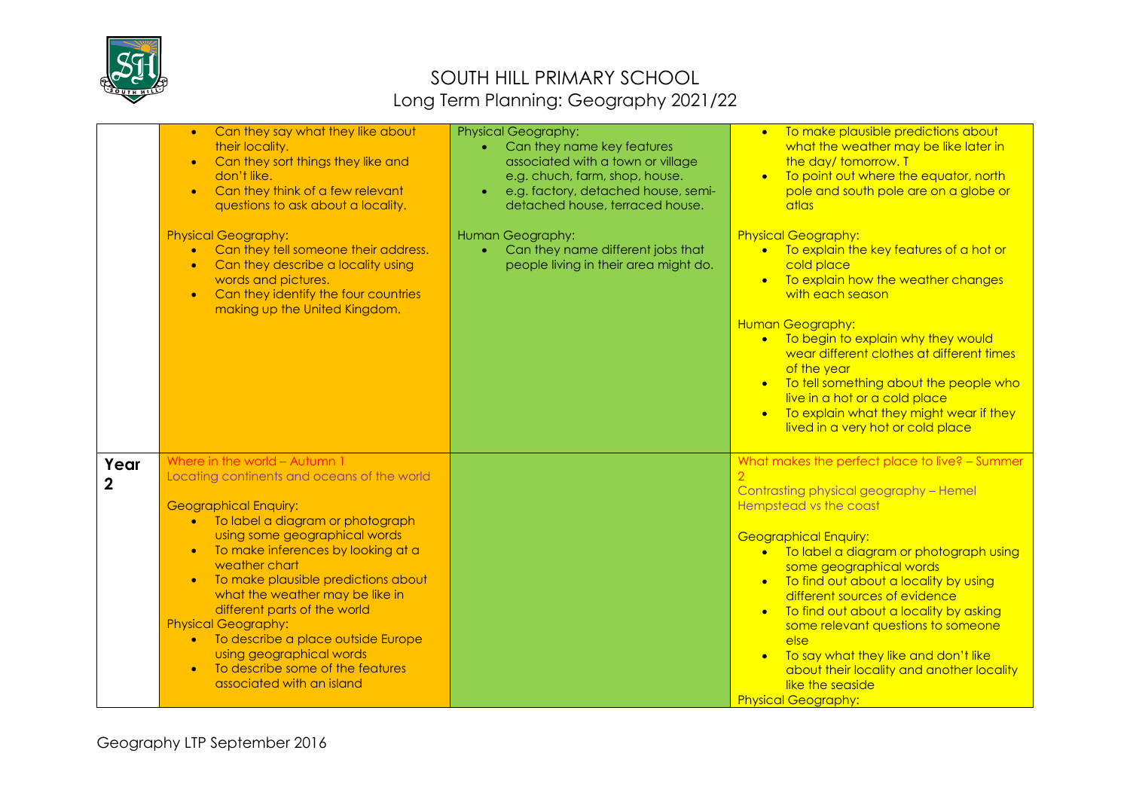

|                        | Can they say what they like about<br>$\bullet$<br>their locality.<br>Can they sort things they like and<br>$\bullet$<br>don't like.<br>Can they think of a few relevant<br>$\bullet$<br>questions to ask about a locality.<br><b>Physical Geography:</b><br>Can they tell someone their address.<br>$\bullet$<br>Can they describe a locality using<br>$\bullet$<br>words and pictures.<br>Can they identify the four countries<br>$\bullet$<br>making up the United Kingdom.                                                                                | <b>Physical Geography:</b><br>Can they name key features<br>associated with a town or village<br>e.g. chuch, farm, shop, house.<br>e.g. factory, detached house, semi-<br>detached house, terraced house.<br>Human Geography:<br>Can they name different jobs that<br>people living in their area might do. | To make plausible predictions about<br>$\bullet$<br>what the weather may be like later in<br>the day/tomorrow. T<br>To point out where the equator, north<br>$\bullet$<br>pole and south pole are on a globe or<br>atlas<br><b>Physical Geography:</b><br>• To explain the key features of a hot or<br>cold place<br>• To explain how the weather changes<br>with each season<br>Human Geography:<br>• To begin to explain why they would<br>wear different clothes at different times<br>of the year<br>• To tell something about the people who<br>live in a hot or a cold place<br>• To explain what they might wear if they<br>lived in a very hot or cold place |
|------------------------|--------------------------------------------------------------------------------------------------------------------------------------------------------------------------------------------------------------------------------------------------------------------------------------------------------------------------------------------------------------------------------------------------------------------------------------------------------------------------------------------------------------------------------------------------------------|-------------------------------------------------------------------------------------------------------------------------------------------------------------------------------------------------------------------------------------------------------------------------------------------------------------|----------------------------------------------------------------------------------------------------------------------------------------------------------------------------------------------------------------------------------------------------------------------------------------------------------------------------------------------------------------------------------------------------------------------------------------------------------------------------------------------------------------------------------------------------------------------------------------------------------------------------------------------------------------------|
| Year<br>$\overline{2}$ | Where in the world - Autumn 1<br>Locating continents and oceans of the world<br><b>Geographical Enquiry:</b><br>• To label a diagram or photograph<br>using some geographical words<br>To make inferences by looking at a<br>$\bullet$<br>weather chart<br>To make plausible predictions about<br>$\bullet$<br>what the weather may be like in<br>different parts of the world<br><b>Physical Geography:</b><br>To describe a place outside Europe<br>$\bullet$<br>using geographical words<br>To describe some of the features<br>associated with an island |                                                                                                                                                                                                                                                                                                             | What makes the perfect place to live? - Summer<br>Contrasting physical geography - Hemel<br>Hempstead vs the coast<br><b>Geographical Enquiry:</b><br>• To label a diagram or photograph using<br>some geographical words<br>• To find out about a locality by using<br>different sources of evidence<br>To find out about a locality by asking<br>some relevant questions to someone<br>else<br>To say what they like and don't like<br>about their locality and another locality<br>like the seaside<br><b>Physical Geography:</b>                                                                                                                                 |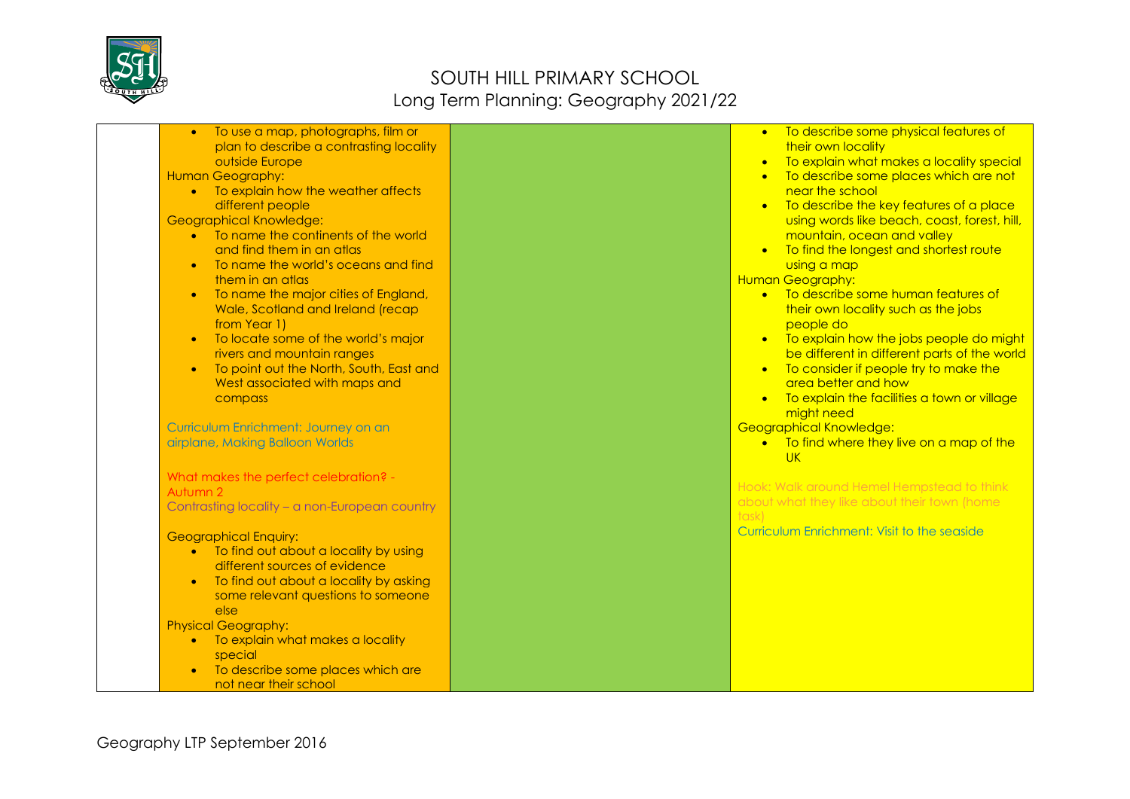

| To use a map, photographs, film or<br>$\bullet$<br>plan to describe a contrasting locality | To describe some physical features of<br>$\bullet$<br>their own locality                       |
|--------------------------------------------------------------------------------------------|------------------------------------------------------------------------------------------------|
| outside Europe<br><b>Human Geography:</b>                                                  | To explain what makes a locality special<br>$\bullet$<br>To describe some places which are not |
| • To explain how the weather affects                                                       | near the school                                                                                |
| different people                                                                           | To describe the key features of a place<br>$\bullet$                                           |
| <b>Geographical Knowledge:</b>                                                             | using words like beach, coast, forest, hill,                                                   |
| • To name the continents of the world<br>and find them in an atlas                         | mountain, ocean and valley                                                                     |
| To name the world's oceans and find                                                        | To find the longest and shortest route<br>using a map                                          |
| them in an atlas                                                                           | <b>Human Geography:</b>                                                                        |
| To name the major cities of England,                                                       | • To describe some human features of                                                           |
| Wale, Scotland and Ireland (recap                                                          | their own locality such as the jobs                                                            |
| from Year 1)                                                                               | people do                                                                                      |
| To locate some of the world's major<br>$\bullet$<br>rivers and mountain ranges             | • To explain how the jobs people do might<br>be different in different parts of the world      |
| To point out the North, South, East and<br>$\bullet$                                       | • To consider if people try to make the                                                        |
| West associated with maps and                                                              | area better and how                                                                            |
| compass                                                                                    | • To explain the facilities a town or village                                                  |
|                                                                                            | might need                                                                                     |
| Curriculum Enrichment: Journey on an<br>airplane, Making Balloon Worlds                    | Geographical Knowledge:<br>• To find where they live on a map of the                           |
|                                                                                            | <b>UK</b>                                                                                      |
| What makes the perfect celebration? -                                                      |                                                                                                |
| Autumn 2                                                                                   | Hook: Walk around Hemel Hempstead to think<br>about what they like about their town (home      |
| Contrasting locality - a non-European country                                              | task)                                                                                          |
| <b>Geographical Enquiry:</b>                                                               | Curriculum Enrichment: Visit to the seaside                                                    |
| To find out about a locality by using                                                      |                                                                                                |
| different sources of evidence                                                              |                                                                                                |
| To find out about a locality by asking                                                     |                                                                                                |
| some relevant questions to someone<br>else                                                 |                                                                                                |
| <b>Physical Geography:</b>                                                                 |                                                                                                |
| To explain what makes a locality<br>$\bullet$                                              |                                                                                                |
| special                                                                                    |                                                                                                |
| To describe some places which are                                                          |                                                                                                |
| not near their school                                                                      |                                                                                                |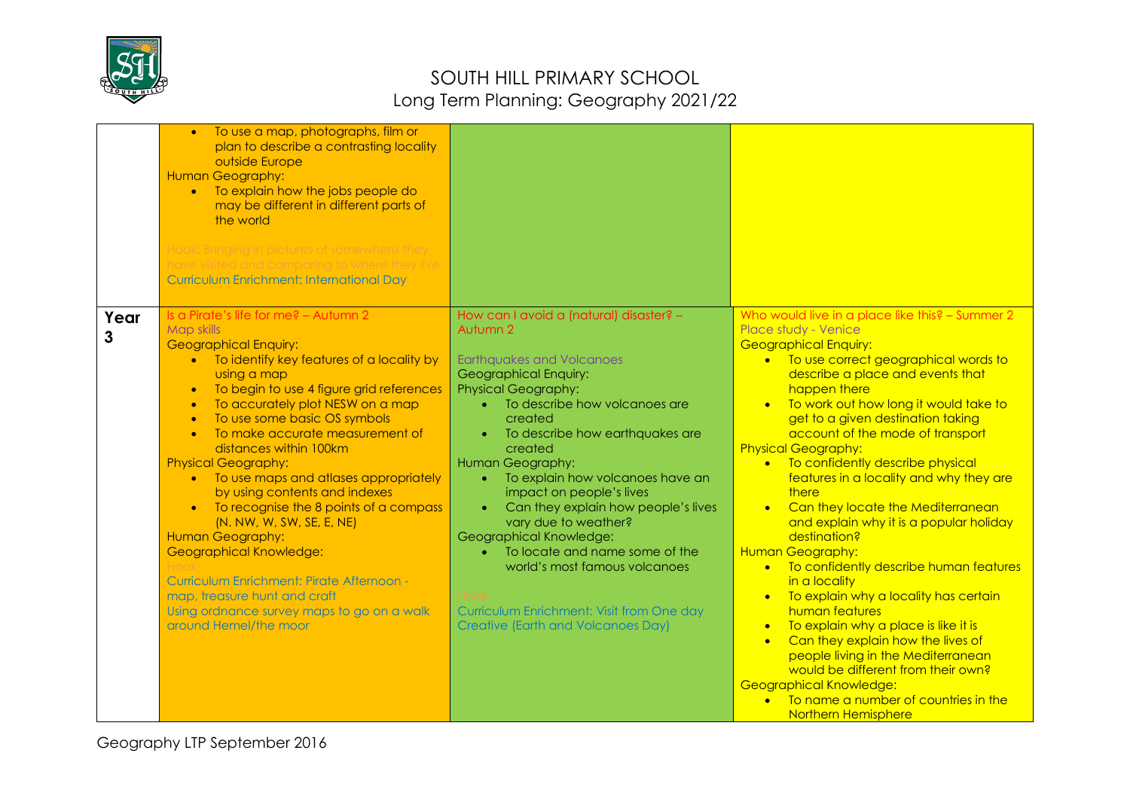

|           | To use a map, photographs, film or<br>plan to describe a contrasting locality<br>outside Europe<br>Human Geography:<br>• To explain how the jobs people do<br>may be different in different parts of<br>the world<br>Hook: Bringing in pictures of somewhere they<br>e visited and comparing to where they live<br><b>Curriculum Enrichment: International Day</b>                                                                                                                                                                                                                                                                                                                                                                                                    |                                                                                                                                                                                                                                                                                                                                                                                                                                                                                                                                                                                                                                                      |                                                                                                                                                                                                                                                                                                                                                                                                                                                                                                                                                                                                                                                                                                                                                                                                                                                                                                                                                                                                                         |
|-----------|-----------------------------------------------------------------------------------------------------------------------------------------------------------------------------------------------------------------------------------------------------------------------------------------------------------------------------------------------------------------------------------------------------------------------------------------------------------------------------------------------------------------------------------------------------------------------------------------------------------------------------------------------------------------------------------------------------------------------------------------------------------------------|------------------------------------------------------------------------------------------------------------------------------------------------------------------------------------------------------------------------------------------------------------------------------------------------------------------------------------------------------------------------------------------------------------------------------------------------------------------------------------------------------------------------------------------------------------------------------------------------------------------------------------------------------|-------------------------------------------------------------------------------------------------------------------------------------------------------------------------------------------------------------------------------------------------------------------------------------------------------------------------------------------------------------------------------------------------------------------------------------------------------------------------------------------------------------------------------------------------------------------------------------------------------------------------------------------------------------------------------------------------------------------------------------------------------------------------------------------------------------------------------------------------------------------------------------------------------------------------------------------------------------------------------------------------------------------------|
| Year<br>3 | Is a Pirate's life for me? - Autumn 2<br><b>Map skills</b><br><b>Geographical Enquiry:</b><br>• To identify key features of a locality by<br>using a map<br>To begin to use 4 figure grid references<br>$\bullet$<br>To accurately plot NESW on a map<br>To use some basic OS symbols<br>To make accurate measurement of<br>$\bullet$<br>distances within 100km<br><b>Physical Geography:</b><br>To use maps and atlases appropriately<br>$\bullet$<br>by using contents and indexes<br>To recognise the 8 points of a compass<br>(N. NW, W, SW, SE, E, NE)<br>Human Geography:<br><b>Geographical Knowledge:</b><br>Curriculum Enrichment: Pirate Afternoon -<br>map, treasure hunt and craft<br>Using ordnance survey maps to go on a walk<br>around Hemel/the moor | How can I avoid a (natural) disaster? -<br>Autumn 2<br><b>Earthquakes and Volcanoes</b><br>Geographical Enquiry:<br><b>Physical Geography:</b><br>To describe how volcanoes are<br>$\bullet$<br>created<br>To describe how earthquakes are<br>$\bullet$<br>created<br>Human Geography:<br>To explain how volcanoes have an<br>$\bullet$<br>impact on people's lives<br>Can they explain how people's lives<br>$\bullet$<br>vary due to weather?<br>Geographical Knowledge:<br>To locate and name some of the<br>$\bullet$<br>world's most famous volcanoes<br>Curriculum Enrichment: Visit from One day<br><b>Creative (Earth and Volcanoes Day)</b> | Who would live in a place like this? - Summer 2<br>Place study - Venice<br><b>Geographical Enquiry:</b><br>• To use correct geographical words to<br>describe a place and events that<br>happen there<br>To work out how long it would take to<br>$\bullet$<br>get to a given destination taking<br>account of the mode of transport<br><b>Physical Geography:</b><br>• To confidently describe physical<br>features in a locality and why they are<br>there<br>Can they locate the Mediterranean<br>and explain why it is a popular holiday<br>destination?<br><b>Human Geography:</b><br>• To confidently describe human features<br>in a locality<br>To explain why a locality has certain<br>$\bullet$<br>human features<br>To explain why a place is like it is<br>$\bullet$<br>Can they explain how the lives of<br>$\bullet$<br>people living in the Mediterranean<br>would be different from their own?<br><b>Geographical Knowledge:</b><br>To name a number of countries in the<br><b>Northern Hemisphere</b> |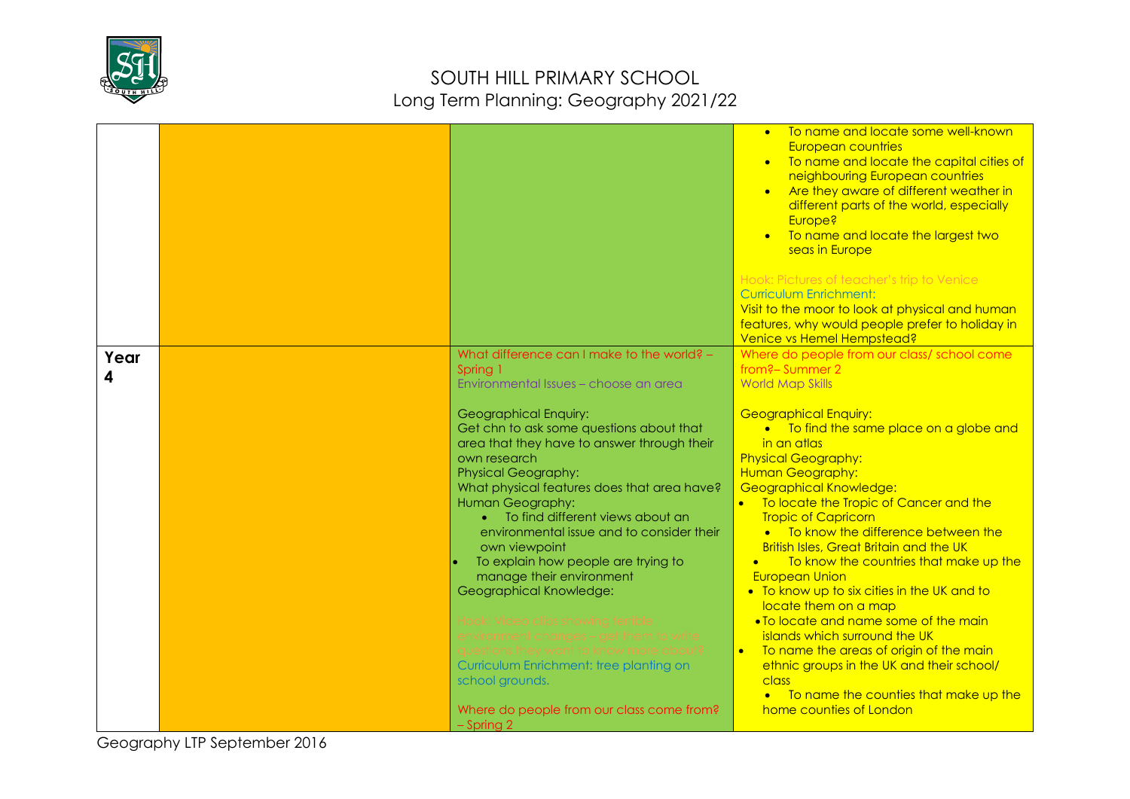

|      |                                                           | • To name and locate some well-known<br>European countries<br>• To name and locate the capital cities of<br>neighbouring European countries<br>• Are they aware of different weather in<br>different parts of the world, especially<br>Europe?<br>To name and locate the largest two<br>$\bullet$<br>seas in Europe<br>Hook: Pictures of teacher's trip to Venice<br><b>Curriculum Enrichment:</b><br>Visit to the moor to look at physical and human<br>features, why would people prefer to holiday in |
|------|-----------------------------------------------------------|----------------------------------------------------------------------------------------------------------------------------------------------------------------------------------------------------------------------------------------------------------------------------------------------------------------------------------------------------------------------------------------------------------------------------------------------------------------------------------------------------------|
| Year | What difference can I make to the world? -                | Venice vs Hemel Hempstead?<br>Where do people from our class/ school come                                                                                                                                                                                                                                                                                                                                                                                                                                |
| 4    | Spring 1                                                  | from?-Summer 2                                                                                                                                                                                                                                                                                                                                                                                                                                                                                           |
|      | Environmental Issues - choose an area                     | <b>World Map Skills</b>                                                                                                                                                                                                                                                                                                                                                                                                                                                                                  |
|      | Geographical Enquiry:                                     | <b>Geographical Enquiry:</b>                                                                                                                                                                                                                                                                                                                                                                                                                                                                             |
|      | Get chn to ask some questions about that                  | • To find the same place on a globe and                                                                                                                                                                                                                                                                                                                                                                                                                                                                  |
|      | area that they have to answer through their               | in an atlas                                                                                                                                                                                                                                                                                                                                                                                                                                                                                              |
|      | own research<br><b>Physical Geography:</b>                | <b>Physical Geography:</b><br>Human Geography:                                                                                                                                                                                                                                                                                                                                                                                                                                                           |
|      | What physical features does that area have?               | <b>Geographical Knowledge:</b>                                                                                                                                                                                                                                                                                                                                                                                                                                                                           |
|      | Human Geography:                                          | To locate the Tropic of Cancer and the                                                                                                                                                                                                                                                                                                                                                                                                                                                                   |
|      | To find different views about an                          | <b>Tropic of Capricorn</b>                                                                                                                                                                                                                                                                                                                                                                                                                                                                               |
|      | environmental issue and to consider their                 | • To know the difference between the<br><b>British Isles, Great Britain and the UK</b>                                                                                                                                                                                                                                                                                                                                                                                                                   |
|      | own viewpoint<br>To explain how people are trying to      | To know the countries that make up the<br>$\bullet$                                                                                                                                                                                                                                                                                                                                                                                                                                                      |
|      | manage their environment                                  | <b>European Union</b>                                                                                                                                                                                                                                                                                                                                                                                                                                                                                    |
|      | Geographical Knowledge:                                   | • To know up to six cities in the UK and to                                                                                                                                                                                                                                                                                                                                                                                                                                                              |
|      |                                                           | locate them on a map                                                                                                                                                                                                                                                                                                                                                                                                                                                                                     |
|      |                                                           | • To locate and name some of the main                                                                                                                                                                                                                                                                                                                                                                                                                                                                    |
|      |                                                           | islands which surround the UK<br>To name the areas of origin of the main                                                                                                                                                                                                                                                                                                                                                                                                                                 |
|      | Curriculum Enrichment: tree planting on                   | ethnic groups in the UK and their school/                                                                                                                                                                                                                                                                                                                                                                                                                                                                |
|      | school grounds.                                           | class                                                                                                                                                                                                                                                                                                                                                                                                                                                                                                    |
|      |                                                           | • To name the counties that make up the                                                                                                                                                                                                                                                                                                                                                                                                                                                                  |
|      | Where do people from our class come from?<br>$-$ Spring 2 | home counties of London                                                                                                                                                                                                                                                                                                                                                                                                                                                                                  |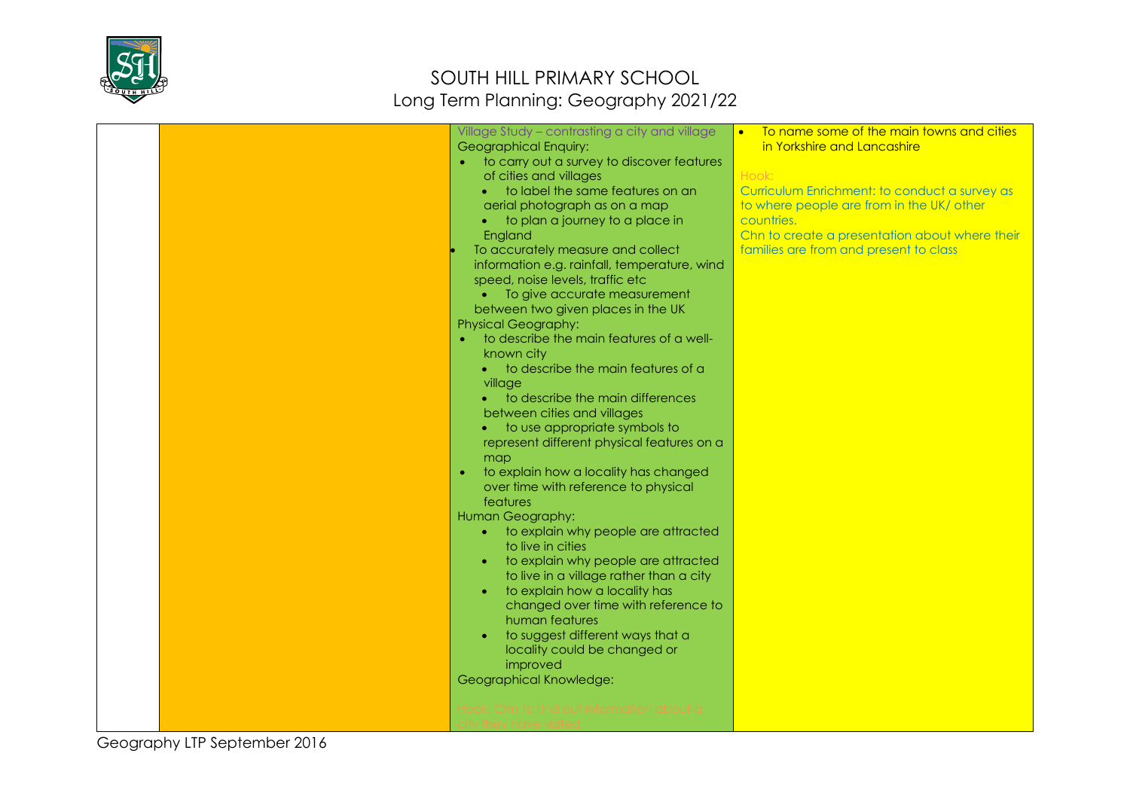

|  | Village Study - contrasting a city and village<br>Geographical Enquiry:<br>to carry out a survey to discover features<br>of cities and villages<br>to label the same features on an<br>aerial photograph as on a map<br>to plan a journey to a place in<br>England<br>To accurately measure and collect<br>information e.g. rainfall, temperature, wind<br>speed, noise levels, traffic etc<br>• To give accurate measurement<br>between two given places in the UK<br><b>Physical Geography:</b><br>to describe the main features of a well-<br>known city<br>to describe the main features of a<br>village<br>to describe the main differences<br>between cities and villages<br>to use appropriate symbols to<br>represent different physical features on a<br>map<br>to explain how a locality has changed<br>$\bullet$<br>over time with reference to physical<br>features<br>Human Geography:<br>to explain why people are attracted<br>$\bullet$<br>to live in cities<br>to explain why people are attracted<br>to live in a village rather than a city<br>to explain how a locality has<br>changed over time with reference to<br>human features<br>to suggest different ways that a<br>locality could be changed or<br>improved<br>Geographical Knowledge:<br>nd out intormation about c | To name some of the main towns and cities<br>in Yorkshire and Lancashire<br>Hook:<br>Curriculum Enrichment: to conduct a survey as<br>to where people are from in the UK/ other<br>countries.<br>Chn to create a presentation about where their<br>families are from and present to class |
|--|---------------------------------------------------------------------------------------------------------------------------------------------------------------------------------------------------------------------------------------------------------------------------------------------------------------------------------------------------------------------------------------------------------------------------------------------------------------------------------------------------------------------------------------------------------------------------------------------------------------------------------------------------------------------------------------------------------------------------------------------------------------------------------------------------------------------------------------------------------------------------------------------------------------------------------------------------------------------------------------------------------------------------------------------------------------------------------------------------------------------------------------------------------------------------------------------------------------------------------------------------------------------------------------------------|-------------------------------------------------------------------------------------------------------------------------------------------------------------------------------------------------------------------------------------------------------------------------------------------|
|--|---------------------------------------------------------------------------------------------------------------------------------------------------------------------------------------------------------------------------------------------------------------------------------------------------------------------------------------------------------------------------------------------------------------------------------------------------------------------------------------------------------------------------------------------------------------------------------------------------------------------------------------------------------------------------------------------------------------------------------------------------------------------------------------------------------------------------------------------------------------------------------------------------------------------------------------------------------------------------------------------------------------------------------------------------------------------------------------------------------------------------------------------------------------------------------------------------------------------------------------------------------------------------------------------------|-------------------------------------------------------------------------------------------------------------------------------------------------------------------------------------------------------------------------------------------------------------------------------------------|

Geography LTP September 2016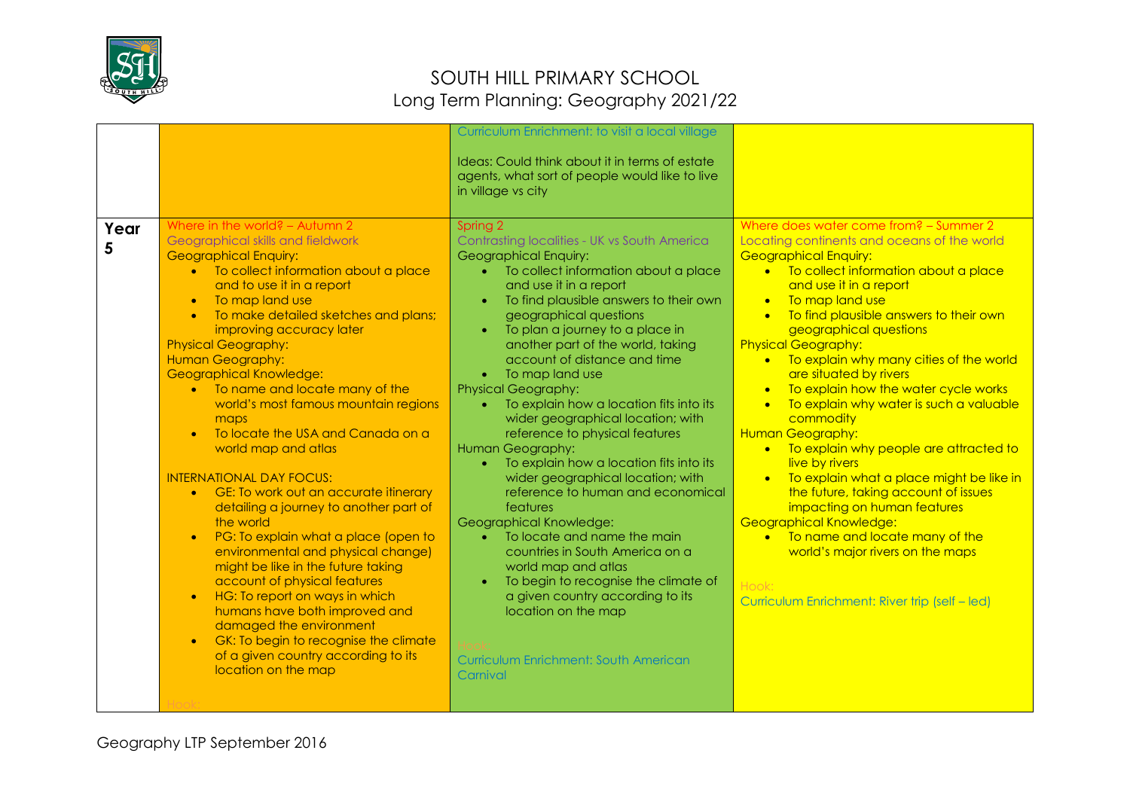

|           |                                                                                                                                                                                                                                                                                                                                                                                                                                                                                                                                                                                                                                                                                                                                                                                                                                                                                                                                                                                                                                                                                   | Curriculum Enrichment: to visit a local village<br>Ideas: Could think about it in terms of estate<br>agents, what sort of people would like to live<br>in village vs city                                                                                                                                                                                                                                                                                                                                                                                                                                                                                                                                                                                                                                                                                                                                                                                                    |                                                                                                                                                                                                                                                                                                                                                                                                                                                                                                                                                                                                                                                                                                                                                                                                                                                                                                             |
|-----------|-----------------------------------------------------------------------------------------------------------------------------------------------------------------------------------------------------------------------------------------------------------------------------------------------------------------------------------------------------------------------------------------------------------------------------------------------------------------------------------------------------------------------------------------------------------------------------------------------------------------------------------------------------------------------------------------------------------------------------------------------------------------------------------------------------------------------------------------------------------------------------------------------------------------------------------------------------------------------------------------------------------------------------------------------------------------------------------|------------------------------------------------------------------------------------------------------------------------------------------------------------------------------------------------------------------------------------------------------------------------------------------------------------------------------------------------------------------------------------------------------------------------------------------------------------------------------------------------------------------------------------------------------------------------------------------------------------------------------------------------------------------------------------------------------------------------------------------------------------------------------------------------------------------------------------------------------------------------------------------------------------------------------------------------------------------------------|-------------------------------------------------------------------------------------------------------------------------------------------------------------------------------------------------------------------------------------------------------------------------------------------------------------------------------------------------------------------------------------------------------------------------------------------------------------------------------------------------------------------------------------------------------------------------------------------------------------------------------------------------------------------------------------------------------------------------------------------------------------------------------------------------------------------------------------------------------------------------------------------------------------|
| Year<br>5 | Where in the world? - Autumn 2<br>Geographical skills and fieldwork<br><b>Geographical Enquiry:</b><br>• To collect information about a place<br>and to use it in a report<br>To map land use<br>$\bullet$<br>To make detailed sketches and plans;<br>$\bullet$<br>improving accuracy later<br><b>Physical Geography:</b><br>Human Geography:<br><b>Geographical Knowledge:</b><br>• To name and locate many of the<br>world's most famous mountain regions<br>maps<br>To locate the USA and Canada on a<br>$\bullet$<br>world map and atlas<br><b>INTERNATIONAL DAY FOCUS:</b><br>• GE: To work out an accurate itinerary<br>detailing a journey to another part of<br>the world<br>PG: To explain what a place (open to<br>$\bullet$<br>environmental and physical change)<br>might be like in the future taking<br>account of physical features<br>HG: To report on ways in which<br>$\bullet$<br>humans have both improved and<br>damaged the environment<br>GK: To begin to recognise the climate<br>$\bullet$<br>of a given country according to its<br>location on the map | Spring 2<br>Contrasting localities - UK vs South America<br>Geographical Enquiry:<br>To collect information about a place<br>and use it in a report<br>To find plausible answers to their own<br>geographical questions<br>To plan a journey to a place in<br>$\bullet$<br>another part of the world, taking<br>account of distance and time<br>• To map land use<br><b>Physical Geography:</b><br>To explain how a location fits into its<br>wider geographical location; with<br>reference to physical features<br>Human Geography:<br>To explain how a location fits into its<br>$\bullet$<br>wider geographical location; with<br>reference to human and economical<br>features<br>Geographical Knowledge:<br>To locate and name the main<br>countries in South America on a<br>world map and atlas<br>To begin to recognise the climate of<br>$\bullet$<br>a given country according to its<br>location on the map<br>Curriculum Enrichment: South American<br>Carnival | Where does water come from? - Summer 2<br>Locating continents and oceans of the world<br><b>Geographical Enquiry:</b><br>• To collect information about a place<br>and use it in a report<br>To map land use<br>$\bullet$<br>To find plausible answers to their own<br>$\bullet$<br>geographical questions<br><b>Physical Geography:</b><br>• To explain why many cities of the world<br>are situated by rivers<br>To explain how the water cycle works<br>To explain why water is such a valuable<br>$\bullet$<br>commodity<br>Human Geography:<br>• To explain why people are attracted to<br>live by rivers<br>To explain what a place might be like in<br>the future, taking account of issues<br>impacting on human features<br>Geographical Knowledge:<br>• To name and locate many of the<br>world's major rivers on the maps<br>Hook <sup>-</sup><br>Curriculum Enrichment: River trip (self - led) |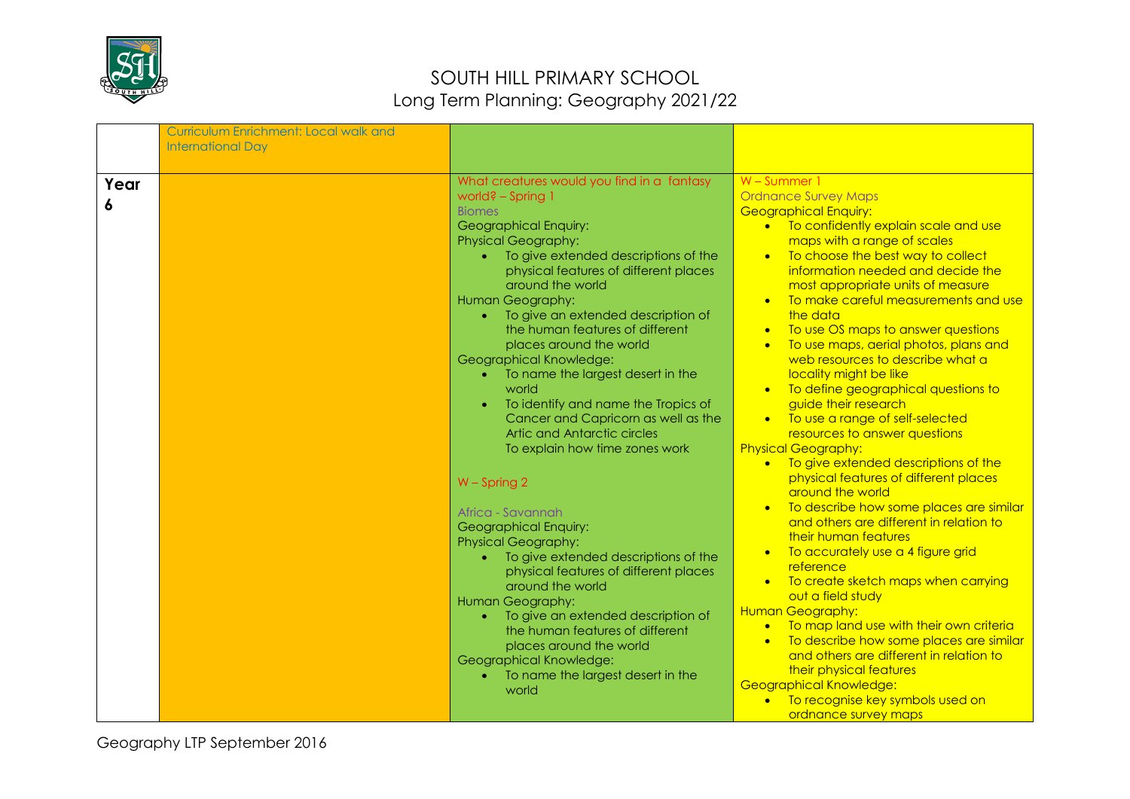

|           | <b>Curriculum Enrichment: Local walk and</b><br><b>International Day</b> |                                                                                                                                                                                                                                                                                                                                                                                                                                                                                                                                                                                                                                                                                                                                                                                                                                                                                                                                                                                                                            |                                                                                                                                                                                                                                                                                                                                                                                                                                                                                                                                                                                                                                                                                                                                                                                                                                                                                                                                                                                                                                                                                                                                                                                                                                                                                   |
|-----------|--------------------------------------------------------------------------|----------------------------------------------------------------------------------------------------------------------------------------------------------------------------------------------------------------------------------------------------------------------------------------------------------------------------------------------------------------------------------------------------------------------------------------------------------------------------------------------------------------------------------------------------------------------------------------------------------------------------------------------------------------------------------------------------------------------------------------------------------------------------------------------------------------------------------------------------------------------------------------------------------------------------------------------------------------------------------------------------------------------------|-----------------------------------------------------------------------------------------------------------------------------------------------------------------------------------------------------------------------------------------------------------------------------------------------------------------------------------------------------------------------------------------------------------------------------------------------------------------------------------------------------------------------------------------------------------------------------------------------------------------------------------------------------------------------------------------------------------------------------------------------------------------------------------------------------------------------------------------------------------------------------------------------------------------------------------------------------------------------------------------------------------------------------------------------------------------------------------------------------------------------------------------------------------------------------------------------------------------------------------------------------------------------------------|
|           |                                                                          |                                                                                                                                                                                                                                                                                                                                                                                                                                                                                                                                                                                                                                                                                                                                                                                                                                                                                                                                                                                                                            |                                                                                                                                                                                                                                                                                                                                                                                                                                                                                                                                                                                                                                                                                                                                                                                                                                                                                                                                                                                                                                                                                                                                                                                                                                                                                   |
| Year<br>6 |                                                                          | What creatures would you find in a fantasy<br>world? - Spring 1<br><b>Biomes</b><br>Geographical Enquiry:<br><b>Physical Geography:</b><br>To give extended descriptions of the<br>physical features of different places<br>around the world<br>Human Geography:<br>To give an extended description of<br>the human features of different<br>places around the world<br>Geographical Knowledge:<br>To name the largest desert in the<br>$\bullet$<br>world<br>To identify and name the Tropics of<br>$\bullet$<br>Cancer and Capricorn as well as the<br>Artic and Antarctic circles<br>To explain how time zones work<br>$W$ – Spring 2<br>Africa - Savannah<br>Geographical Enquiry:<br><b>Physical Geography:</b><br>To give extended descriptions of the<br>physical features of different places<br>around the world<br>Human Geography:<br>To give an extended description of<br>the human features of different<br>places around the world<br>Geographical Knowledge:<br>To name the largest desert in the<br>world | W - Summer 1<br><b>Ordnance Survey Maps</b><br><b>Geographical Enquiry:</b><br>• To confidently explain scale and use<br>maps with a range of scales<br>• To choose the best way to collect<br>information needed and decide the<br>most appropriate units of measure<br>To make careful measurements and use<br>the data<br>To use OS maps to answer questions<br>To use maps, aerial photos, plans and<br>$\bullet$<br>web resources to describe what a<br>locality might be like<br>• To define geographical questions to<br>guide their research<br>• To use a range of self-selected<br>resources to answer questions<br><b>Physical Geography:</b><br>• To give extended descriptions of the<br>physical features of different places<br>around the world<br>To describe how some places are similar<br>and others are different in relation to<br>their human features<br>To accurately use a 4 figure grid<br>$\bullet$<br>reference<br>• To create sketch maps when carrying<br>out a field study<br><b>Human Geography:</b><br>• To map land use with their own criteria<br>To describe how some places are similar<br>$\bullet$<br>and others are different in relation to<br>their physical features<br>Geographical Knowledge:<br>• To recognise key symbols used on |
|           |                                                                          |                                                                                                                                                                                                                                                                                                                                                                                                                                                                                                                                                                                                                                                                                                                                                                                                                                                                                                                                                                                                                            | ordnance survey maps                                                                                                                                                                                                                                                                                                                                                                                                                                                                                                                                                                                                                                                                                                                                                                                                                                                                                                                                                                                                                                                                                                                                                                                                                                                              |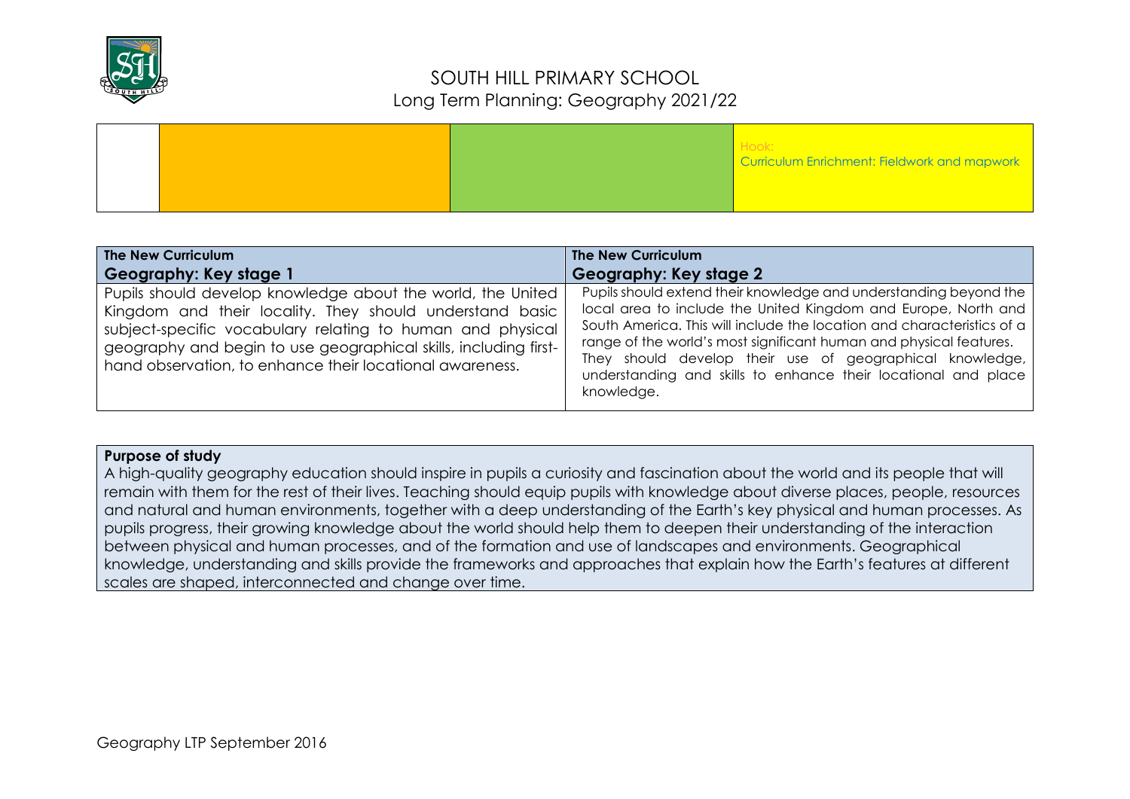

|  |  | Hook:<br>Curriculum Enrichment: Fieldwork and mapwork |
|--|--|-------------------------------------------------------|
|  |  |                                                       |

| The New Curriculum                                                                                                                                                                                                                                                                                                                              | The New Curriculum                                                                                                                                                                                                                                                                                                                                                                                                                                        |
|-------------------------------------------------------------------------------------------------------------------------------------------------------------------------------------------------------------------------------------------------------------------------------------------------------------------------------------------------|-----------------------------------------------------------------------------------------------------------------------------------------------------------------------------------------------------------------------------------------------------------------------------------------------------------------------------------------------------------------------------------------------------------------------------------------------------------|
| Geography: Key stage 1<br>Pupils should develop knowledge about the world, the United<br>Kingdom and their locality. They should understand basic<br>subject-specific vocabulary relating to human and physical<br>geography and begin to use geographical skills, including first-<br>hand observation, to enhance their locational awareness. | Geography: Key stage 2<br>Pupils should extend their knowledge and understanding beyond the<br>local area to include the United Kingdom and Europe, North and<br>South America. This will include the location and characteristics of a<br>range of the world's most significant human and physical features.<br>They should develop their use of geographical knowledge,<br>understanding and skills to enhance their locational and place<br>knowledge. |

#### **Purpose of study**

A high-quality geography education should inspire in pupils a curiosity and fascination about the world and its people that will remain with them for the rest of their lives. Teaching should equip pupils with knowledge about diverse places, people, resources and natural and human environments, together with a deep understanding of the Earth's key physical and human processes. As pupils progress, their growing knowledge about the world should help them to deepen their understanding of the interaction between physical and human processes, and of the formation and use of landscapes and environments. Geographical knowledge, understanding and skills provide the frameworks and approaches that explain how the Earth's features at different scales are shaped, interconnected and change over time.